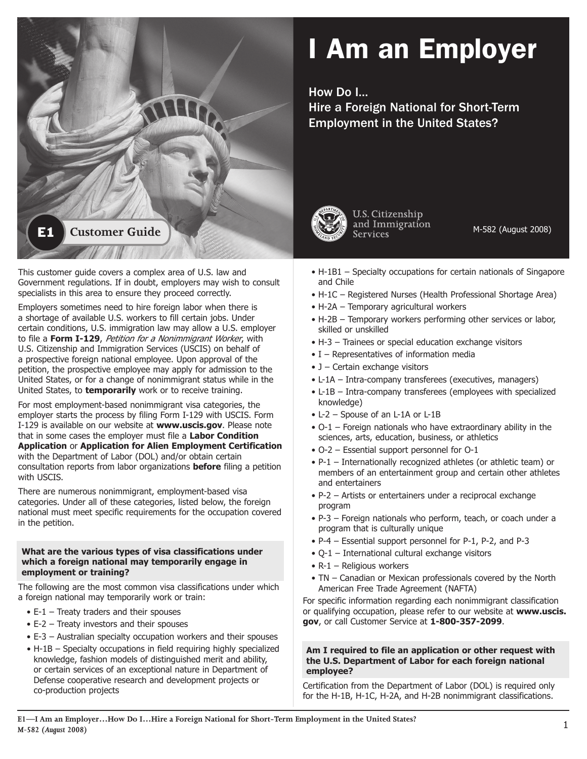

# I Am an Employer

How Do I…

Hire a Foreign National for Short-Term Employment in the United States?



U.S. Citizenship

M-582 (August 2008)

This customer guide covers a complex area of U.S. law and Government regulations. If in doubt, employers may wish to consult specialists in this area to ensure they proceed correctly.

Employers sometimes need to hire foreign labor when there is a shortage of available U.S. workers to fill certain jobs. Under certain conditions, U.S. immigration law may allow a U.S. employer to file a **Form I-129**, Petition for a Nonimmigrant Worker, with U.S. Citizenship and Immigration Services (USCIS) on behalf of a prospective foreign national employee. Upon approval of the petition, the prospective employee may apply for admission to the United States, or for a change of nonimmigrant status while in the United States, to **temporarily** work or to receive training.

For most employment-based nonimmigrant visa categories, the employer starts the process by filing Form I-129 with USCIS. Form I-129 is available on our website at **www.uscis.gov**. Please note that in some cases the employer must file a **Labor Condition Application** or **Application for Alien Employment Certification**  with the Department of Labor (DOL) and/or obtain certain consultation reports from labor organizations **before** filing a petition with USCIS.

There are numerous nonimmigrant, employment-based visa categories. Under all of these categories, listed below, the foreign national must meet specific requirements for the occupation covered in the petition.

# **What are the various types of visa classifications under which a foreign national may temporarily engage in employment or training?**

The following are the most common visa classifications under which a foreign national may temporarily work or train:

- $\bullet$  E-1 Treaty traders and their spouses
- $\bullet$  E-2 Treaty investors and their spouses
- E-3 Australian specialty occupation workers and their spouses
- H-1B Specialty occupations in field requiring highly specialized knowledge, fashion models of distinguished merit and ability, or certain services of an exceptional nature in Department of Defense cooperative research and development projects or co-production projects
- $\bullet$  H-1B1 Specialty occupations for certain nationals of Singapore and Chile
- H-1C Registered Nurses (Health Professional Shortage Area)
- H-2A Temporary agricultural workers
- H-2B Temporary workers performing other services or labor, skilled or unskilled
- H-3 Trainees or special education exchange visitors
- $\bullet$  I Representatives of information media
- J Certain exchange visitors
- L-1A Intra-company transferees (executives, managers)
- L-1B Intra-company transferees (employees with specialized knowledge)
- L-2 Spouse of an L-1A or L-1B
- O-1 Foreign nationals who have extraordinary ability in the sciences, arts, education, business, or athletics
- $\bullet$  O-2 Essential support personnel for O-1
- $P-1$  Internationally recognized athletes (or athletic team) or members of an entertainment group and certain other athletes and entertainers
- P-2 Artists or entertainers under a reciprocal exchange program
- P-3 Foreign nationals who perform, teach, or coach under a program that is culturally unique
- P-4 Essential support personnel for P-1, P-2, and P-3
- $\bullet$  Q-1 International cultural exchange visitors
- $\bullet$  R-1 Religious workers
- TN Canadian or Mexican professionals covered by the North American Free Trade Agreement (NAFTA)

For specific information regarding each nonimmigrant classification or qualifying occupation, please refer to our website at **www.uscis. gov**, or call Customer Service at **1-800-357-2099**.

# **Am I required to file an application or other request with the U.S. Department of Labor for each foreign national employee?**

Certification from the Department of Labor (DOL) is required only for the H-1B, H-1C, H-2A, and H-2B nonimmigrant classifications.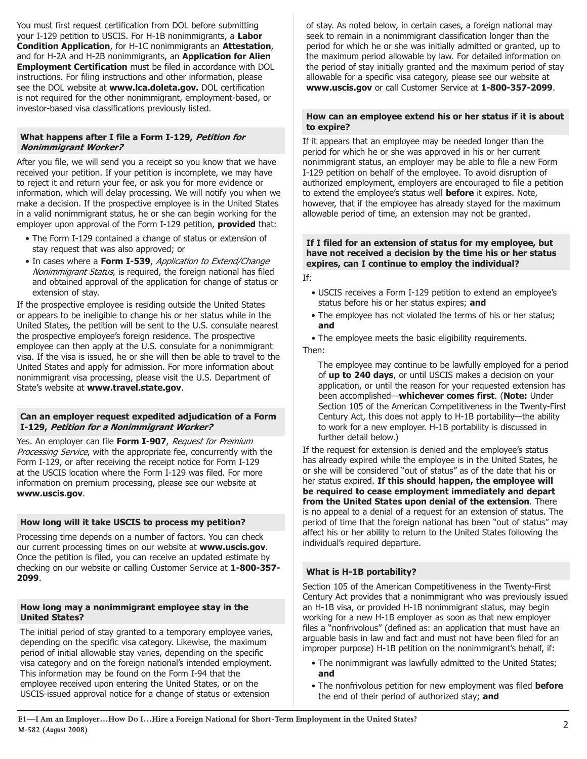You must first request certification from DOL before submitting your I-129 petition to USCIS. For H-1B nonimmigrants, a Labor **Condition Application**, for H-1C nonimmigrants an **Attestation**, and for H-2A and H-2B nonimmigrants, an **Application for Alien Employment Certification** must be filed in accordance with DOL instructions. For filing instructions and other information, please see the DOL website at **www.lca.doleta.gov.** DOL certification is not required for the other nonimmigrant, employment-based, or investor-based visa classifications previously listed.

# **What happens after I file a Form I-129, Petition for Nonimmigrant Worker?**

After you file, we will send you a receipt so you know that we have received your petition. If your petition is incomplete, we may have to reject it and return your fee, or ask you for more evidence or information, which will delay processing. We will notify you when we make a decision. If the prospective employee is in the United States in a valid nonimmigrant status, he or she can begin working for the employer upon approval of the Form I-129 petition, **provided** that:

- The Form I-129 contained a change of status or extension of stay request that was also approved; or
- In cases where a Form I-539, Application to Extend/Change Nonimmigrant Status, is required, the foreign national has filed and obtained approval of the application for change of status or extension of stay.

If the prospective employee is residing outside the United States or appears to be ineligible to change his or her status while in the United States, the petition will be sent to the U.S. consulate nearest the prospective employee's foreign residence. The prospective employee can then apply at the U.S. consulate for a nonimmigrant visa. If the visa is issued, he or she will then be able to travel to the United States and apply for admission. For more information about nonimmigrant visa processing, please visit the U.S. Department of State's website at **www.travel.state.gov**.

# **Can an employer request expedited adjudication of a Form I-129, Petition for a Nonimmigrant Worker?**

Yes. An employer can file **Form I-907**, Request for Premium Processing Service, with the appropriate fee, concurrently with the Form I-129, or after receiving the receipt notice for Form I-129 at the USCIS location where the Form I-129 was filed. For more information on premium processing, please see our website at **www.uscis.gov**.

# **How long will it take USCIS to process my petition?**

Processing time depends on a number of factors. You can check our current processing times on our website at **www.uscis.gov**. Once the petition is filed, you can receive an updated estimate by checking on our website or calling Customer Service at **1-800-357- 2099**.

#### **How long may a nonimmigrant employee stay in the United States?**

The initial period of stay granted to a temporary employee varies, depending on the specific visa category. Likewise, the maximum period of initial allowable stay varies, depending on the specific visa category and on the foreign national's intended employment. This information may be found on the Form I-94 that the employee received upon entering the United States, or on the USCIS-issued approval notice for a change of status or extension

of stay. As noted below, in certain cases, a foreign national may seek to remain in a nonimmigrant classification longer than the period for which he or she was initially admitted or granted, up to the maximum period allowable by law. For detailed information on the period of stay initially granted and the maximum period of stay allowable for a specific visa category, please see our website at **www.uscis.gov** or call Customer Service at **1-800-357-2099**.

## **How can an employee extend his or her status if it is about to expire?**

If it appears that an employee may be needed longer than the period for which he or she was approved in his or her current nonimmigrant status, an employer may be able to file a new Form I-129 petition on behalf of the employee. To avoid disruption of authorized employment, employers are encouraged to file a petition to extend the employee's status well **before** it expires. Note, however, that if the employee has already stayed for the maximum allowable period of time, an extension may not be granted.

## **If I filed for an extension of status for my employee, but have not received a decision by the time his or her status expires, can I continue to employ the individual?**

If:

- USCIS receives a Form I-129 petition to extend an employee's status before his or her status expires; **and**
- The employee has not violated the terms of his or her status; **and**

• The employee meets the basic eligibility requirements. Then:

The employee may continue to be lawfully employed for a period of **up to 240 days**, or until USCIS makes a decision on your application, or until the reason for your requested extension has been accomplished—**whichever comes first**. (**Note:** Under Section 105 of the American Competitiveness in the Twenty-First Century Act, this does not apply to H-1B portability—the ability to work for a new employer. H-1B portability is discussed in further detail below.)

If the request for extension is denied and the employee's status has already expired while the employee is in the United States, he or she will be considered "out of status" as of the date that his or her status expired. **If this should happen, the employee will be required to cease employment immediately and depart from the United States upon denial of the extension**. There is no appeal to a denial of a request for an extension of status. The period of time that the foreign national has been "out of status" may affect his or her ability to return to the United States following the individual's required departure.

# **What is H-1B portability?**

Section 105 of the American Competitiveness in the Twenty-First Century Act provides that a nonimmigrant who was previously issued an H-1B visa, or provided H-1B nonimmigrant status, may begin working for a new H-1B employer as soon as that new employer files a "nonfrivolous" (defined as: an application that must have an arguable basis in law and fact and must not have been filed for an improper purpose) H-1B petition on the nonimmigrant's behalf, if:

- The nonimmigrant was lawfully admitted to the United States; **and**
- The nonfrivolous petition for new employment was filed **before** the end of their period of authorized stay; **and**